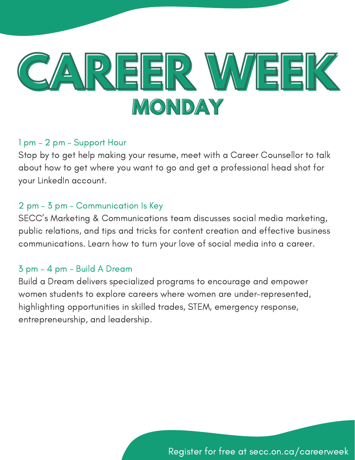

Stop by to get help making your resume, meet with a Career Counsellor to talk about how to get where you want to go and get a professional head shot for your LinkedIn account.

## 2 pm – 3 pm – Communication Is Key

SECC's Marketing & Communications team discusses social media marketing, public relations, and tips and tricks for content creation and effective business communications. Learn how to turn your love of social media into a career.

## 3 pm – 4 pm - Build A Dream

Build a Dream delivers specialized programs to encourage and empower women students to explore careers where women are under-represented, highlighting opportunities in skilled trades, STEM, emergency response, entrepreneurship, and leadership.

Register for free at secc.on.ca/careerweek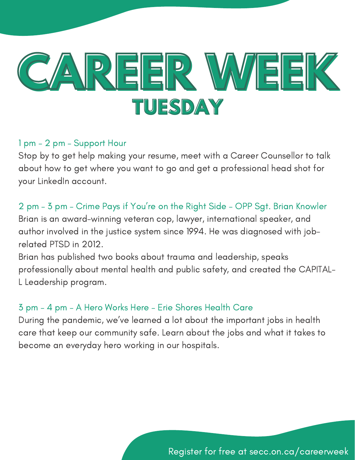

Stop by to get help making your resume, meet with a Career Counsellor to talk about how to get where you want to go and get a professional head shot for your LinkedIn account.

## 2 pm – 3 pm – Crime Pays if You're on the Right Side – OPP Sgt. Brian Knowler

Brian is an award-winning veteran cop, lawyer, international speaker, and author involved in the justice system since 1994. He was diagnosed with jobrelated PTSD in 2012.

Brian has published two books about trauma and leadership, speaks professionally about mental health and public safety, and created the CAPITAL-L Leadership program.

## 3 pm – 4 pm – A Hero Works Here – Erie Shores Health Care

During the pandemic, we've learned a lot about the important jobs in health care that keep our community safe. Learn about the jobs and what it takes to become an everyday hero working in our hospitals.

Register for free at secc.on.ca/careerweek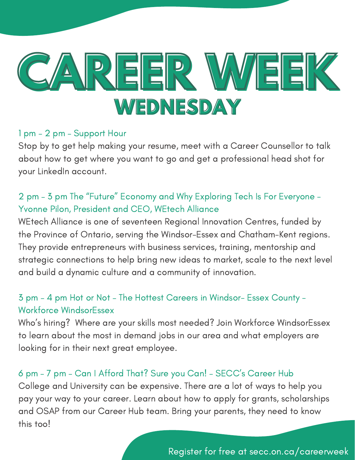

Stop by to get help making your resume, meet with a Career Counsellor to talk about how to get where you want to go and get a professional head shot for your LinkedIn account.

# 2 pm – 3 pm The "Future" Economy and Why Exploring Tech Is For Everyone - Yvonne Pilon, President and CEO, WEtech Alliance

WEtech Alliance is one of seventeen Regional Innovation Centres, funded by the Province of Ontario, serving the Windsor-Essex and Chatham-Kent regions. They provide entrepreneurs with business services, training, mentorship and strategic connections to help bring new ideas to market, scale to the next level and build a dynamic culture and a community of innovation.

## 3 pm – 4 pm Hot or Not – The Hottest Careers in Windsor- Essex County - Workforce WindsorEssex

Who's hiring? Where are your skills most needed? Join Workforce WindsorEssex to learn about the most in demand jobs in our area and what employers are looking for in their next great employee.

## 6 pm – 7 pm – Can I Afford That? Sure you Can! – SECC's Career Hub

College and University can be expensive. There are a lot of ways to help you pay your way to your career. Learn about how to apply for grants, scholarships and OSAP from our Career Hub team. Bring your parents, they need to know this too!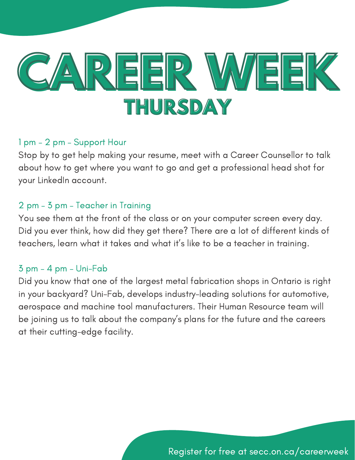

Stop by to get help making your resume, meet with a Career Counsellor to talk about how to get where you want to go and get a professional head shot for your LinkedIn account.

## 2 pm – 3 pm – Teacher in Training

You see them at the front of the class or on your computer screen every day. Did you ever think, how did they get there? There are a lot of different kinds of teachers, learn what it takes and what it's like to be a teacher in training.

## 3 pm – 4 pm – Uni-Fab

Did you know that one of the largest metal fabrication shops in Ontario is right in your backyard? Uni-Fab, develops industry-leading solutions for automotive, aerospace and machine tool manufacturers. Their Human Resource team will be joining us to talk about the company's plans for the future and the careers at their cutting-edge facility.